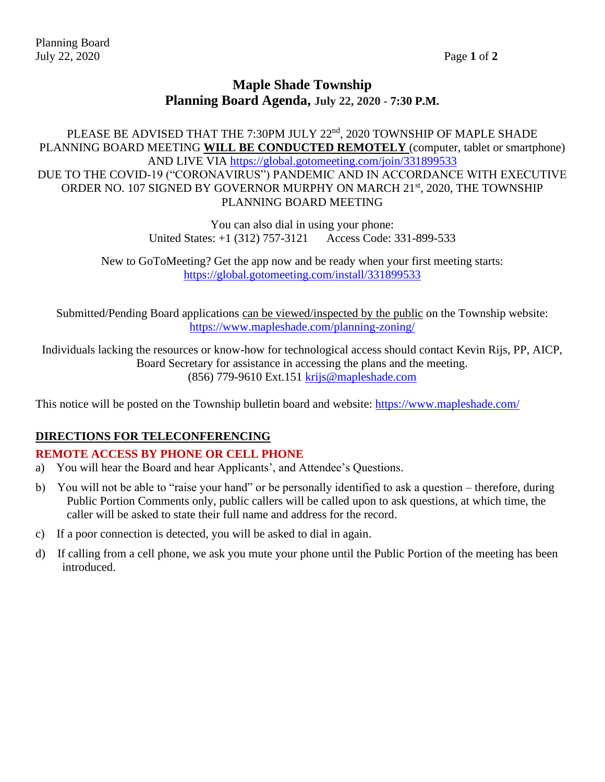## **Maple Shade Township Planning Board Agenda, July 22, 2020 - 7:30 P.M.**

PLEASE BE ADVISED THAT THE 7:30PM JULY 22<sup>nd</sup>, 2020 TOWNSHIP OF MAPLE SHADE PLANNING BOARD MEETING **WILL BE CONDUCTED REMOTELY** (computer, tablet or smartphone) AND LIVE VIA<https://global.gotomeeting.com/join/331899533> DUE TO THE COVID-19 ("CORONAVIRUS") PANDEMIC AND IN ACCORDANCE WITH EXECUTIVE ORDER NO. 107 SIGNED BY GOVERNOR MURPHY ON MARCH 21<sup>st</sup>, 2020, THE TOWNSHIP PLANNING BOARD MEETING

> You can also dial in using your phone: United States: +1 (312) 757-3121 Access Code: 331-899-533

New to GoToMeeting? Get the app now and be ready when your first meeting starts: <https://global.gotomeeting.com/install/331899533>

Submitted/Pending Board applications can be viewed/inspected by the public on the Township website: <https://www.mapleshade.com/planning-zoning/>

Individuals lacking the resources or know-how for technological access should contact Kevin Rijs, PP, AICP, Board Secretary for assistance in accessing the plans and the meeting. (856) 779-9610 Ext.151 [krijs@mapleshade.com](mailto:krijs@mapleshade.com)

This notice will be posted on the Township bulletin board and website:<https://www.mapleshade.com/>

#### **DIRECTIONS FOR TELECONFERENCING**

#### **REMOTE ACCESS BY PHONE OR CELL PHONE**

- a) You will hear the Board and hear Applicants', and Attendee's Questions.
- b) You will not be able to "raise your hand" or be personally identified to ask a question therefore, during Public Portion Comments only, public callers will be called upon to ask questions, at which time, the caller will be asked to state their full name and address for the record.
- c) If a poor connection is detected, you will be asked to dial in again.
- d) If calling from a cell phone, we ask you mute your phone until the Public Portion of the meeting has been introduced.